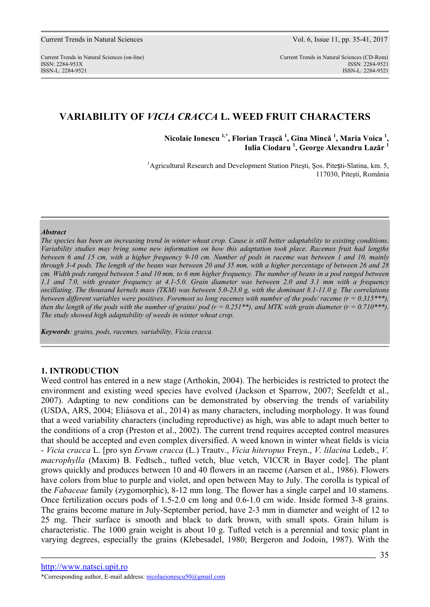# **VARIABILITY OF** *VICIA CRACCA* **L. WEED FRUIT CHARACTERS**

**Nicolaie Ionescu 1,\*, Florian Traşcă <sup>1</sup> , Gina Mincă <sup>1</sup> , Maria Voica <sup>1</sup> , Iulia Ciodaru <sup>1</sup> , George Alexandru Lazăr <sup>1</sup>**

<sup>1</sup>Agricultural Research and Development Station Pitești, Șos. Pite**șt**i-Slatina, km. 5, 117030, Piteşti, România

#### *Abstract*

*The species has been an increasing trend in winter wheat crop. Cause is still better adaptability to existing conditions. Variability studies may bring some new information on how this adaptation took place. Racemes fruit had lengths between 6 and 15 cm, with a higher frequency 9-10 cm. Number of pods in raceme was between 1 and 10, mainly through 3-4 pods. The length of the beans was between 20 and 35 mm, with a higher percentage of between 26 and 28 cm. Width pods ranged between 5 and 10 mm, to 6 mm higher frequency. The number of beans in a pod ranged between 1.1 and 7.0, with greater frequency at 4.1-5.0. Grain diameter was between 2.0 and 3.1 mm with a frequency oscillating. The thousand kernels mass (TKM) was between 5.0-23.0 g, with the dominant 8.1-11.0 g. The correlations between different variables were positives. Foremost so long racemes with number of the pods/ raceme (r = 0.315\*\*\*), then the length of the pods with the number of grains/ pod (r = 0.251\*\*), and MTK with grain diameter (r = 0.710\*\*\*). The study showed high adaptability of weeds in winter wheat crop.* 

*Keywords: grains, pods, racemes, variability, Vicia cracca.*

### **1. INTRODUCTION**

Weed control has entered in a new stage (Arthokin, 2004). The herbicides is restricted to protect the environment and existing weed species have evolved (Jackson et Sparrow, 2007; Seefeldt et al., 2007). Adapting to new conditions can be demonstrated by observing the trends of variability (USDA, ARS, 2004; Eliásova et al., 2014) as many characters, including morphology. It was found that a weed variability characters (including reproductive) as high, was able to adapt much better to the conditions of a crop (Preston et al., 2002). The current trend requires accepted control measures that should be accepted and even complex diversified. A weed known in winter wheat fields is vicia - *Vicia cracca* L. [pro syn *Ervum cracca* (L.) Trautv., *Vicia hiteropus* Freyn., *V. lilacina* Ledeb., *V. macrophylla* (Maxim) B. Fedtsch., tufted vetch, blue vetch, VICCR in Bayer code]. The plant grows quickly and produces between 10 and 40 flowers in an raceme (Aarsen et al., 1986). Flowers have colors from blue to purple and violet, and open between May to July. The corolla is typical of the *Fabaceae* family (zygomorphic), 8-12 mm long. The flower has a single carpel and 10 stamens. Once fertilization occurs pods of 1.5-2.0 cm long and 0.6-1.0 cm wide. Inside formed 3-8 grains. The grains become mature in July-September period, have 2-3 mm in diameter and weight of 12 to 25 mg. Their surface is smooth and black to dark brown, with small spots. Grain hilum is characteristic. The 1000 grain weight is about 10 g. Tufted vetch is a perennial and toxic plant in varying degrees, especially the grains (Klebesadel, 1980; Bergeron and Jodoin, 1987). With the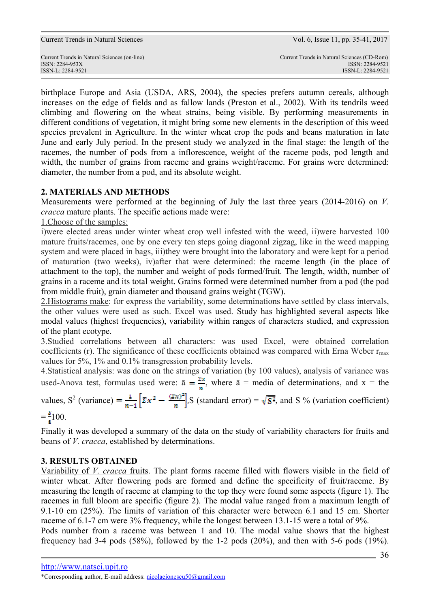birthplace Europe and Asia (USDA, ARS, 2004), the species prefers autumn cereals, although increases on the edge of fields and as fallow lands (Preston et al., 2002). With its tendrils weed climbing and flowering on the wheat strains, being visible. By performing measurements in different conditions of vegetation, it might bring some new elements in the description of this weed species prevalent in Agriculture. In the winter wheat crop the pods and beans maturation in late June and early July period. In the present study we analyzed in the final stage: the length of the racemes, the number of pods from a inflorescence, weight of the raceme pods, pod length and width, the number of grains from raceme and grains weight/raceme. For grains were determined: diameter, the number from a pod, and its absolute weight.

## **2. MATERIALS AND METHODS**

Measurements were performed at the beginning of July the last three years (2014-2016) on *V. cracca* mature plants. The specific actions made were:

1.Choose of the samples:

i)were elected areas under winter wheat crop well infested with the weed, ii)were harvested 100 mature fruits/racemes, one by one every ten steps going diagonal zigzag, like in the weed mapping system and were placed in bags, iii)they were brought into the laboratory and were kept for a period of maturation (two weeks), iv)after that were determined: the raceme length (in the place of attachment to the top), the number and weight of pods formed/fruit. The length, width, number of grains in a raceme and its total weight. Grains formed were determined number from a pod (the pod from middle fruit), grain diameter and thousand grains weight (TGW).

2.Histograms make: for express the variability, some determinations have settled by class intervals, the other values were used as such. Excel was used. Study has highlighted several aspects like modal values (highest frequencies), variability within ranges of characters studied, and expression of the plant ecotype.

3.Studied correlations between all characters: was used Excel, were obtained correlation coefficients (r). The significance of these coefficients obtained was compared with Erna Weber  $r_{\text{max}}$ values for 5%, 1% and 0.1% transgression probability levels.

4.Statistical analysis: was done on the strings of variation (by 100 values), analysis of variance was used-Anova test, formulas used were:  $\bar{a} = \frac{\Sigma x}{n}$ , where  $\bar{a}$  = media of determinations, and x = the

values,  $S^2$  (variance) =  $\frac{1}{\pi} \left[ \Sigma x^2 - \frac{\Sigma x}{\pi} \right]$ . S (standard error) =  $\sqrt{S^2}$ , and S % (variation coefficient)

$$
=\frac{2}{3}100.
$$

Finally it was developed a summary of the data on the study of variability characters for fruits and beans of *V. cracca*, established by determinations.

## **3. RESULTS OBTAINED**

Variability of *V. cracca* fruits. The plant forms raceme filled with flowers visible in the field of winter wheat. After flowering pods are formed and define the specificity of fruit/raceme. By measuring the length of raceme at clamping to the top they were found some aspects (figure 1). The racemes in full bloom are specific (figure 2). The modal value ranged from a maximum length of 9.1-10 cm (25%). The limits of variation of this character were between 6.1 and 15 cm. Shorter raceme of 6.1-7 cm were 3% frequency, while the longest between 13.1-15 were a total of 9%. Pods number from a raceme was between 1 and 10. The modal value shows that the highest frequency had 3-4 pods (58%), followed by the 1-2 pods (20%), and then with 5-6 pods (19%).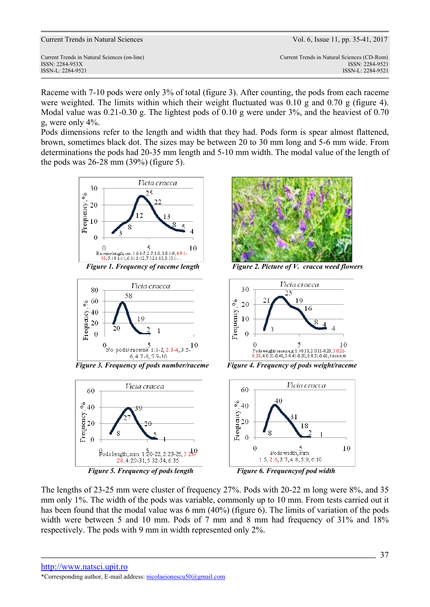| <b>Current Trends in Natural Sciences</b> |  |  |  |
|-------------------------------------------|--|--|--|
|-------------------------------------------|--|--|--|

Vol. 6, Issue 11, pp. 35-41, 2017

Current Trends in Natural Sciences (on-line) Current Trends in Natural Sciences (CD-Rom) ISSN: 2284-953XISSN: 2284-9521 ISSN-L: 2284-9521 ISSN-L: 2284-9521

Raceme with 7-10 pods were only 3% of total (figure 3). After counting, the pods from each raceme were weighted. The limits within which their weight fluctuated was 0.10 g and 0.70 g (figure 4). Modal value was 0.21-0.30 g. The lightest pods of 0.10 g were under 3%, and the heaviest of 0.70 g, were only 4%.

Pods dimensions refer to the length and width that they had. Pods form is spear almost flattened, brown, sometimes black dot. The sizes may be between 20 to 30 mm long and 5-6 mm wide. From determinations the pods had 20-35 mm length and 5-10 mm width. The modal value of the length of the pods was 26-28 mm (39%) (figure 5).







 *Figure 3. Frequency of pods number/raceme Figure 4. Frequency of pods weight/raceme* 







*Figure 1. Frequency of raceme length* Figure 2. Picture of V. cracca weed flowers





The lengths of 23-25 mm were cluster of frequency 27%. Pods with 20-22 m long were 8%, and 35 mm only 1%. The width of the pods was variable, commonly up to 10 mm. From tests carried out it has been found that the modal value was 6 mm (40%) (figure 6). The limits of variation of the pods width were between 5 and 10 mm. Pods of 7 mm and 8 mm had frequency of 31% and 18% respectively. The pods with 9 mm in width represented only 2%.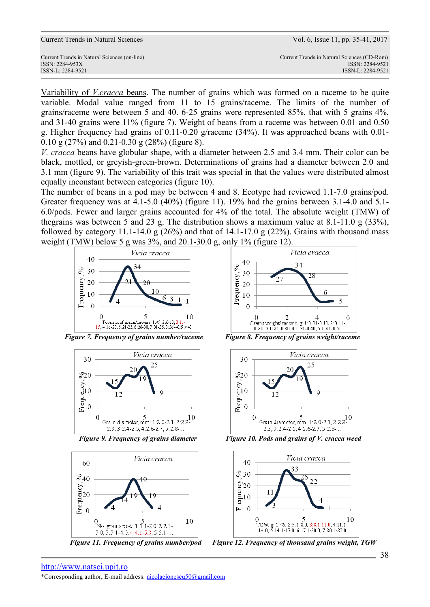| Current Trends in Natural Sciences (on-line) | Current Trends in Natural Sciences (CD-Rom) |
|----------------------------------------------|---------------------------------------------|
| ISSN: 2284-953X                              | ISSN: 2284-9521                             |
| ISSN-L: 2284-9521                            | ISSN-L: 2284-9521                           |

Variability of *V.cracca* beans. The number of grains which was formed on a raceme to be quite variable. Modal value ranged from 11 to 15 grains/raceme. The limits of the number of grains/raceme were between 5 and 40. 6-25 grains were represented 85%, that with 5 grains 4%, and 31-40 grains were 11% (figure 7). Weight of beans from a raceme was between 0.01 and 0.50 g. Higher frequency had grains of 0.11-0.20 g/raceme (34%). It was approached beans with 0.01- 0.10 g (27%) and 0.21-0.30 g (28%) (figure 8).

*V. cracca* beans have globular shape, with a diameter between 2.5 and 3.4 mm. Their color can be black, mottled, or greyish-green-brown. Determinations of grains had a diameter between 2.0 and 3.1 mm (figure 9). The variability of this trait was special in that the values were distributed almost equally inconstant between categories (figure 10).

The number of beans in a pod may be between 4 and 8. Ecotype had reviewed 1.1-7.0 grains/pod. Greater frequency was at 4.1-5.0 (40%) (figure 11). 19% had the grains between 3.1-4.0 and 5.1- 6.0/pods. Fewer and larger grains accounted for 4% of the total. The absolute weight (TMW) of thegrains was between 5 and 23 g. The distribution shows a maximum value at 8.1-11.0 g (33%), followed by category 11.1-14.0 g  $(26%)$  and that of 14.1-17.0 g  $(22%)$ . Grains with thousand mass weight (TMW) below 5 g was 3%, and 20.1-30.0 g, only 1% (figure 12).



 $\overline{\phantom{a}}$  *Figure 7. Frequency of grains number/raceme Figure 8. Frequency of grains weight/raceme* 





Figure 11. Frequency of grains number/pod





 *Figure 9. Frequency of grains diameter Figure 10. Pods and grains of V. cracca weed* 



*Figure 12. Frequency of thousand grains weight, TGW*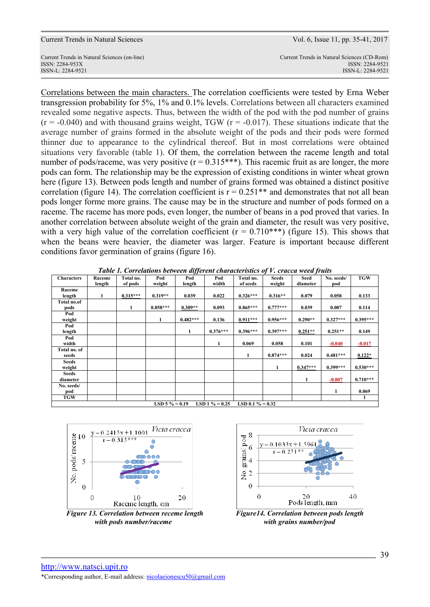ISSN-L: 2284-9521 ISSN-L: 2284-9521

Current Trends in Natural Sciences (on-line) Current Trends in Natural Sciences (CD-Rom) ISSN: 2284-953XISSN: 2284-9521

Correlations between the main characters. The correlation coefficients were tested by Erna Weber transgression probability for 5%, 1% and 0.1% levels. Correlations between all characters examined revealed some negative aspects. Thus, between the width of the pod with the pod number of grains  $(r = -0.040)$  and with thousand grains weight, TGW  $(r = -0.017)$ . These situations indicate that the average number of grains formed in the absolute weight of the pods and their pods were formed thinner due to appearance to the cylindrical thereof. But in most correlations were obtained situations very favorable (table 1). Of them, the correlation between the raceme length and total number of pods/raceme, was very positive  $(r = 0.315***)$ . This racemic fruit as are longer, the more pods can form. The relationship may be the expression of existing conditions in winter wheat grown here (figure 13). Between pods length and number of grains formed was obtained a distinct positive correlation (figure 14). The correlation coefficient is  $r = 0.251**$  and demonstrates that not all bean pods longer forme more grains. The cause may be in the structure and number of pods formed on a raceme. The raceme has more pods, even longer, the number of beans in a pod proved that varies. In another correlation between absolute weight of the grain and diameter, the result was very positive, with a very high value of the correlation coefficient ( $r = 0.710$ \*\*\*) (figure 15). This shows that when the beans were heavier, the diameter was larger. Feature is important because different conditions favor germination of grains (figure 16).

| <b>Characters</b>                      | Raceme<br>length | Total no.<br>of pods | Pod<br>weight | Pod<br>length | Pod<br>width | Total no.<br>of seeds | <b>Seeds</b><br>weight | Seed<br>diameter | No. seeds/<br>pod | TGW        |
|----------------------------------------|------------------|----------------------|---------------|---------------|--------------|-----------------------|------------------------|------------------|-------------------|------------|
| Raceme                                 |                  |                      |               |               |              |                       |                        |                  |                   |            |
| length                                 | 1                | $0.315***$           | $0.319**$     | 0.039         | 0.022        | $0.326***$            | $0.316**$              | 0.079            | 0.058             | 0.133      |
| Total no.of                            |                  |                      |               |               |              |                       |                        |                  |                   |            |
| pods                                   |                  | 1                    | $0.858***$    | $0.309**$     | 0.093        | $0.865***$            | $0.777***$             | 0.039            | 0.007             | 0.114      |
| Pod                                    |                  |                      |               |               |              |                       |                        |                  |                   |            |
| weight                                 |                  |                      | 1             | $0.482***$    | 0.136        | $0.911***$            | $0.956***$             | $0.290**$        | $0.327***$        | $0.395***$ |
| Pod                                    |                  |                      |               |               |              |                       |                        |                  |                   |            |
| length                                 |                  |                      |               | 1             | $0.376***$   | $0.396***$            | $0.397***$             | $0.251**$        | $0.251**$         | 0.149      |
| Pod                                    |                  |                      |               |               |              |                       |                        |                  |                   |            |
| width                                  |                  |                      |               |               | 1            | 0.069                 | 0.058                  | 0.101            | $-0.040$          | $-0.017$   |
| Total no. of                           |                  |                      |               |               |              |                       |                        |                  |                   |            |
| seeds                                  |                  |                      |               |               |              | 1                     | $0.874***$             | 0.024            | $0.481***$        | $0.122*$   |
| Seeds                                  |                  |                      |               |               |              |                       |                        |                  |                   |            |
| weight                                 |                  |                      |               |               |              |                       | 1                      | $0.347***$       | $0.399***$        | $0.530***$ |
| <b>Seeds</b>                           |                  |                      |               |               |              |                       |                        |                  |                   |            |
| diameter                               |                  |                      |               |               |              |                       |                        | 1                | $-0.007$          | $0.710***$ |
| No. seeds/                             |                  |                      |               |               |              |                       |                        |                  |                   |            |
| pod                                    |                  |                      |               |               |              |                       |                        |                  |                   | 0.069      |
| TGW                                    |                  |                      |               |               |              |                       |                        |                  |                   | 1          |
| LSD 5 $\% = 0.19$<br>LSD 1 $\% = 0.25$ |                  |                      |               |               |              | LSD 0.1 $\% = 0.32$   |                        |                  |                   |            |

*Table 1. Correlations between different characteristics of V. cracca weed fruits* 





*Figure 13. Correlation between receme length Figure14. Correlation between pods length with pods number/raceme with grains number/pod*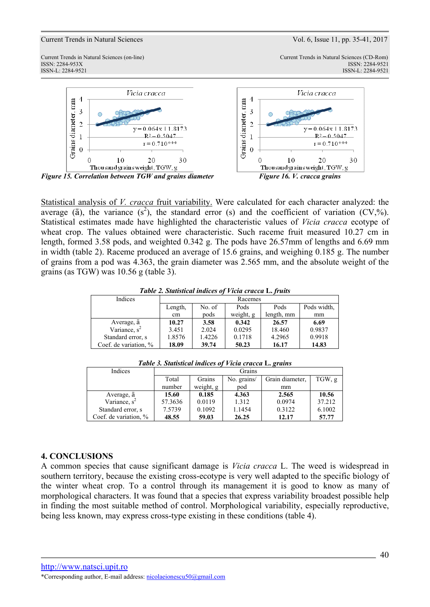Current Trends in Natural Sciences (on-line) Current Trends in Natural Sciences (CD-Rom)





*Figure 15. Correlation between TGW and grains diameter Figure 16. V. cracca grains* 

Statistical analysis of *V. cracca* fruit variability. Were calculated for each character analyzed: the average ( $\bar{a}$ ), the variance (s<sup>2</sup>), the standard error (s) and the coefficient of variation (CV,%). Statistical estimates made have highlighted the characteristic values of *Vicia cracca* ecotype of wheat crop. The values obtained were characteristic. Such raceme fruit measured 10.27 cm in length, formed 3.58 pods, and weighted 0.342 g. The pods have 26.57mm of lengths and 6.69 mm in width (table 2). Raceme produced an average of 15.6 grains, and weighing 0.185 g. The number of grains from a pod was 4.363, the grain diameter was 2.565 mm, and the absolute weight of the grains (as TGW) was 10.56 g (table 3).

### *Table 2. Statistical indices of Vicia cracca* **L.** *fruits*

| Indices               | Racemes |        |           |            |             |
|-----------------------|---------|--------|-----------|------------|-------------|
|                       | Length, | No. of | Pods      | Pods       | Pods width. |
|                       | cm      | pods   | weight, g | length, mm | mm          |
| Average, a            | 10.27   | 3.58   | 0.342     | 26.57      | 6.69        |
| Variance, $s^2$       | 3.451   | 2.024  | 0.0295    | 18.460     | 0.9837      |
| Standard error, s     | 1.8576  | 1.4226 | 0.1718    | 4.2965     | 0.9918      |
| Coef. de variation, % | 18.09   | 39.74  | 50.23     | 16.17      | 14.83       |

| Indices               | Grains                         |           |        |                 |        |
|-----------------------|--------------------------------|-----------|--------|-----------------|--------|
|                       | No. grains/<br>Total<br>Grains |           |        | Grain diameter. | TGW, g |
|                       | number                         | weight, g | pod    | mm              |        |
| Average, $\bar{a}$    | 15.60                          | 0.185     | 4.363  | 2.565           | 10.56  |
| Variance, $s^2$       | 57.3636                        | 0.0119    | 1.312  | 0.0974          | 37.212 |
| Standard error, s     | 7.5739                         | 0.1092    | 1.1454 | 0.3122          | 6.1002 |
| Coef. de variation, % | 48.55                          | 59.03     | 26.25  | 12.17           | 57.77  |

*Table 3. Statistical indices of Vicia cracca* **L.** *grains* 

## **4. CONCLUSIONS**

A common species that cause significant damage is *Vicia cracca* L. The weed is widespread in southern territory, because the existing cross-ecotype is very well adapted to the specific biology of the winter wheat crop. To a control through its management it is good to know as many of morphological characters. It was found that a species that express variability broadest possible help in finding the most suitable method of control. Morphological variability, especially reproductive, being less known, may express cross-type existing in these conditions (table 4).